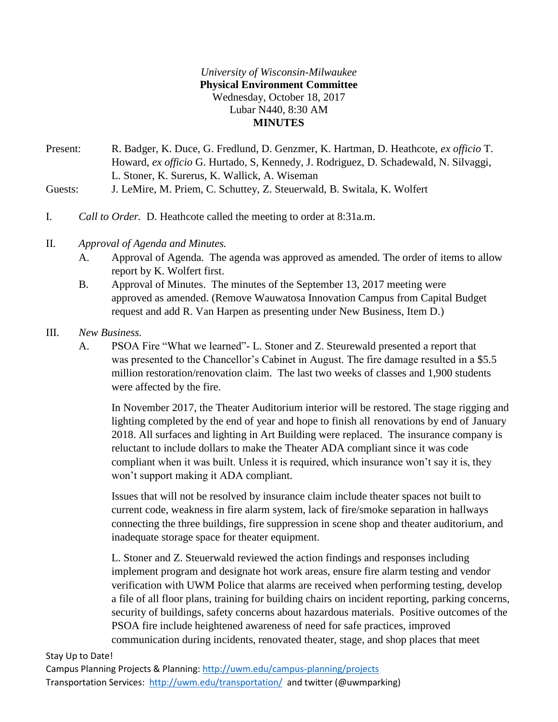### *University of Wisconsin-Milwaukee* **Physical Environment Committee** Wednesday, October 18, 2017 Lubar N440, 8:30 AM **MINUTES**

- Present: R. Badger, K. Duce, G. Fredlund, D. Genzmer, K. Hartman, D. Heathcote, *ex officio* T. Howard, *ex officio* G. Hurtado, S, Kennedy, J. Rodriguez, D. Schadewald, N. Silvaggi, L. Stoner, K. Surerus, K. Wallick, A. Wiseman
- Guests: J. LeMire, M. Priem, C. Schuttey, Z. Steuerwald, B. Switala, K. Wolfert
- I. *Call to Order.* D. Heathcote called the meeting to order at 8:31a.m.
- II. *Approval of Agenda and Minutes.*
	- A. Approval of Agenda. The agenda was approved as amended. The order of items to allow report by K. Wolfert first.
	- B. Approval of Minutes. The minutes of the September 13, 2017 meeting were approved as amended. (Remove Wauwatosa Innovation Campus from Capital Budget request and add R. Van Harpen as presenting under New Business, Item D.)

### III. *New Business.*

A. PSOA Fire "What we learned"- L. Stoner and Z. Steurewald presented a report that was presented to the Chancellor's Cabinet in August. The fire damage resulted in a \$5.5 million restoration/renovation claim. The last two weeks of classes and 1,900 students were affected by the fire.

In November 2017, the Theater Auditorium interior will be restored. The stage rigging and lighting completed by the end of year and hope to finish all renovations by end of January 2018. All surfaces and lighting in Art Building were replaced. The insurance company is reluctant to include dollars to make the Theater ADA compliant since it was code compliant when it was built. Unless it is required, which insurance won't say it is, they won't support making it ADA compliant.

Issues that will not be resolved by insurance claim include theater spaces not built to current code, weakness in fire alarm system, lack of fire/smoke separation in hallways connecting the three buildings, fire suppression in scene shop and theater auditorium, and inadequate storage space for theater equipment.

L. Stoner and Z. Steuerwald reviewed the action findings and responses including implement program and designate hot work areas, ensure fire alarm testing and vendor verification with UWM Police that alarms are received when performing testing, develop a file of all floor plans, training for building chairs on incident reporting, parking concerns, security of buildings, safety concerns about hazardous materials. Positive outcomes of the PSOA fire include heightened awareness of need for safe practices, improved communication during incidents, renovated theater, stage, and shop places that meet

#### Stay Up to Date!

Campus Planning Projects & Planning:<http://uwm.edu/campus-planning/projects> Transportation Services: <http://uwm.edu/transportation/>and twitter (@uwmparking)